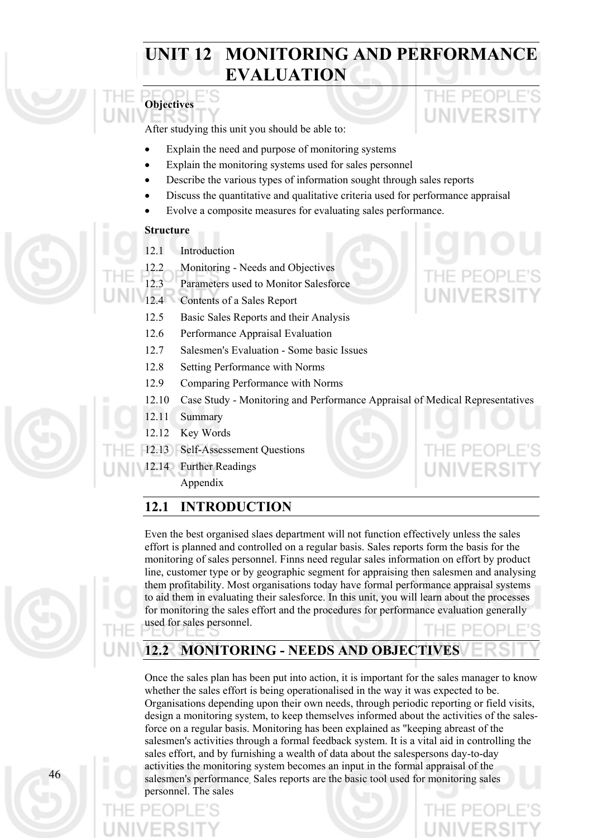# **UNIT 12 MONITORING AND PERFORMANCE EVALUATION**



After studying this unit you should be able to:

- Explain the need and purpose of monitoring systems
- Explain the monitoring systems used for sales personnel
- Describe the various types of information sought through sales reports
- Discuss the quantitative and qualitative criteria used for performance appraisal
- Evolve a composite measures for evaluating sales performance.

### **Structure**

- 12.1 Introduction
- 12.2 Monitoring Needs and Objectives
- 12.3 Parameters used to Monitor Salesforce
- 12.4 Contents of a Sales Report
- 12.5 Basic Sales Reports and their Analysis
- 12.6 Performance Appraisal Evaluation
- 12.7 Salesmen's Evaluation Some basic Issues
- 12.8 Setting Performance with Norms
- 12.9 Comparing Performance with Norms
- 12.10 Case Study Monitoring and Performance Appraisal of Medical Representatives
- 12.11 Summary
- 12.12 Key Words



12.14 Further Readings

Appendix

# **12.1 INTRODUCTION**

Even the best organised slaes department will not function effectively unless the sales effort is planned and controlled on a regular basis. Sales reports form the basis for the monitoring of sales personnel. Finns need regular sales information on effort by product line, customer type or by geographic segment for appraising then salesmen and analysing them profitability. Most organisations today have formal performance appraisal systems to aid them in evaluating their salesforce. In this unit, you will learn about the processes for monitoring the sales effort and the procedures for performance evaluation generally used for sales personnel.

**12.2 MONITORING - NEEDS AND OBJECTIVES** 

Once the sales plan has been put into action, it is important for the sales manager to know whether the sales effort is being operationalised in the way it was expected to be. Organisations depending upon their own needs, through periodic reporting or field visits, design a monitoring system, to keep themselves informed about the activities of the salesforce on a regular basis. Monitoring has been explained as "keeping abreast of the salesmen's activities through a formal feedback system. It is a vital aid in controlling the sales effort, and by furnishing a wealth of data about the salespersons day-to-day activities the monitoring system becomes an input in the formal appraisal of the salesmen's performance. Sales reports are the basic tool used for monitoring sales personnel. The sales

UNIVERSI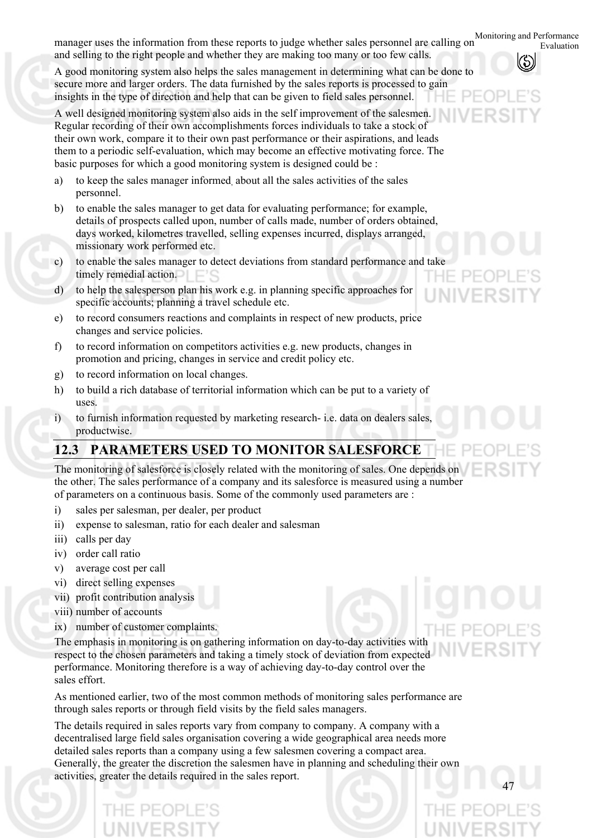Monitoring and Performance Evaluation manager uses the information from these reports to judge whether sales personnel are calling on and selling to the right people and whether they are making too many or too few calls.

A good monitoring system also helps the sales management in determining what can be done to secure more and larger orders. The data furnished by the sales reports is processed to gain insights in the type of direction and help that can be given to field sales personnel.

A well designed monitoring system also aids in the self improvement of the salesmen. Regular recording of their own accomplishments forces individuals to take a stock of their own work, compare it to their own past performance or their aspirations, and leads them to a periodic self-evaluation, which may become an effective motivating force. The basic purposes for which a good monitoring system is designed could be :

- a) to keep the sales manager informed, about all the sales activities of the sales personnel.
- b) to enable the sales manager to get data for evaluating performance; for example, details of prospects called upon, number of calls made, number of orders obtained, days worked, kilometres travelled, selling expenses incurred, displays arranged, missionary work performed etc.
- c) to enable the sales manager to detect deviations from standard performance and take timely remedial action.
- d) to help the salesperson plan his work e.g. in planning specific approaches for specific accounts; planning a travel schedule etc.
- e) to record consumers reactions and complaints in respect of new products, price changes and service policies.
- f) to record information on competitors activities e.g. new products, changes in promotion and pricing, changes in service and credit policy etc.
- g) to record information on local changes.
- h) to build a rich database of territorial information which can be put to a variety of uses.
- i) to furnish information requested by marketing research- i.e. data on dealers sales, productwise.

# **12.3 PARAMETERS USED TO MONITOR SALESFORCE**

The monitoring of salesforce is closely related with the monitoring of sales. One depends on the other. The sales performance of a company and its salesforce is measured using a number of parameters on a continuous basis. Some of the commonly used parameters are :

- i) sales per salesman, per dealer, per product
- ii) expense to salesman, ratio for each dealer and salesman
- iii) calls per day
- iv) order call ratio
- v) average cost per call
- vi) direct selling expenses
- vii) profit contribution analysis
- viii) number of accounts
- ix) number of customer complaints.

The emphasis in monitoring is on gathering information on day-to-day activities with respect to the chosen parameters and taking a timely stock of deviation from expected performance. Monitoring therefore is a way of achieving day-to-day control over the sales effort.

As mentioned earlier, two of the most common methods of monitoring sales performance are through sales reports or through field visits by the field sales managers.

The details required in sales reports vary from company to company. A company with a decentralised large field sales organisation covering a wide geographical area needs more detailed sales reports than a company using a few salesmen covering a compact area. Generally, the greater the discretion the salesmen have in planning and scheduling their own activities, greater the details required in the sales report.

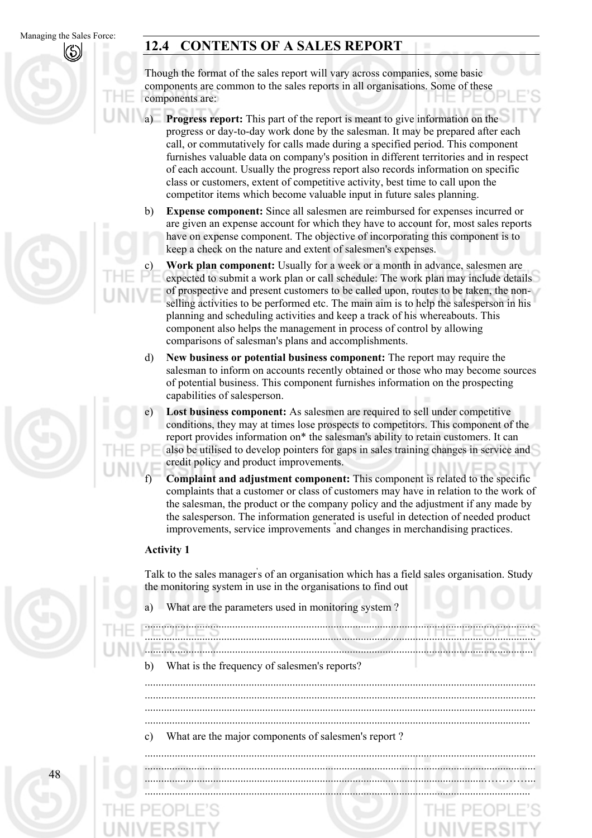# **12.4 CONTENTS OF A SALES REPORT**

Though the format of the sales report will vary across companies, some basic components are common to the sales reports in all organisations. Some of these components are:

- a) **Progress report:** This part of the report is meant to give information on the progress or day-to-day work done by the salesman. It may be prepared after each call, or commutatively for calls made during a specified period. This component furnishes valuable data on company's position in different territories and in respect of each account. Usually the progress report also records information on specific class or customers, extent of competitive activity, best time to call upon the competitor items which become valuable input in future sales planning.
- b) **Expense component:** Since all salesmen are reimbursed for expenses incurred or are given an expense account for which they have to account for, most sales reports have on expense component. The objective of incorporating this component is to keep a check on the nature and extent of salesmen's expenses.

**Work plan component:** Usually for a week or a month in advance, salesmen are expected to submit a work plan or call schedule: The work plan may include details of prospective and present customers to be called upon, routes to be taken, the nonselling activities to be performed etc. The main aim is to help the salesperson in his planning and scheduling activities and keep a track of his whereabouts. This component also helps the management in process of control by allowing comparisons of salesman's plans and accomplishments.

- d) **New business or potential business component:** The report may require the salesman to inform on accounts recently obtained or those who may become sources of potential business. This component furnishes information on the prospecting capabilities of salesperson.
- e) **Lost business component:** As salesmen are required to sell under competitive conditions, they may at times lose prospects to competitors. This component of the report provides information on\* the salesman's ability to retain customers. It can also be utilised to develop pointers for gaps in sales training changes in service and credit policy and product improvements.
	- **Complaint and adjustment component:** This component is related to the specific complaints that a customer or class of customers may have in relation to the work of the salesman, the product or the company policy and the adjustment if any made by the salesperson. The information generated is useful in detection of needed product improvements, service improvements " and changes in merchandising practices.

### **Activity 1**

f)

c)

Talk to the sales manager's of an organisation which has a field sales organisation. Study the monitoring system in use in the organisations to find out

a) What are the parameters used in monitoring system ?

| b)            | What is the frequency of salesmen's reports?        |
|---------------|-----------------------------------------------------|
|               |                                                     |
|               |                                                     |
| $\mathcal{C}$ | What are the major components of salesmen's report? |

48 ............................................................................................................................................... ............................................................................................................................................... ............................................................................................................................…………... .............................................................................................................................................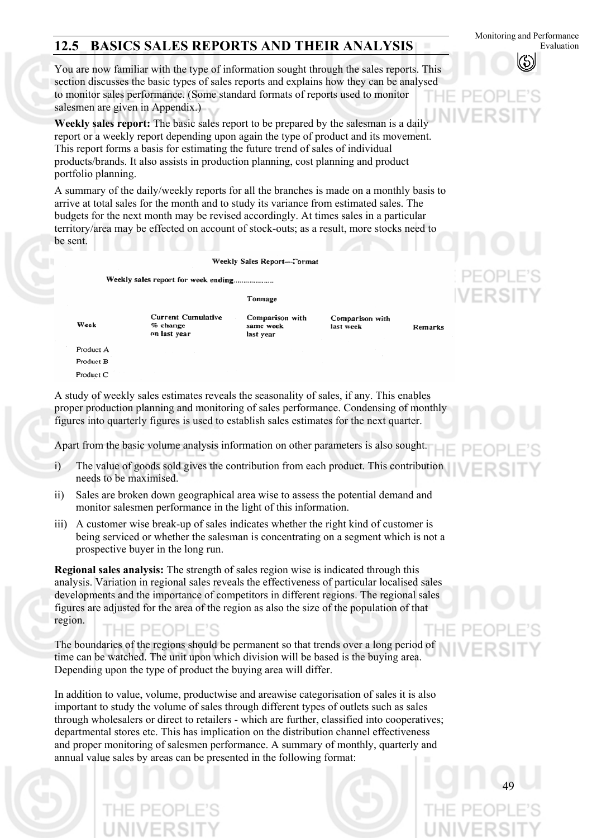# **12.5 BASICS SALES REPORTS AND THEIR ANALYSIS**

You are now familiar with the type of information sought through the sales reports. This section discusses the basic types of sales reports and explains how they can be analysed to monitor sales performance. (Some standard formats of reports used to monitor salesmen are given in Appendix.)

**Weekly sales report:** The basic sales report to be prepared by the salesman is a daily report or a weekly report depending upon again the type of product and its movement. This report forms a basis for estimating the future trend of sales of individual products/brands. It also assists in production planning, cost planning and product portfolio planning.

A summary of the daily/weekly reports for all the branches is made on a monthly basis to arrive at total sales for the month and to study its variance from estimated sales. The budgets for the next month may be revised accordingly. At times sales in a particular territory/area may be effected on account of stock-outs; as a result, more stocks need to be sent.

Weekly Sales Report-Tormat

Weekly sales report for week ending................

**Current Cumulative** 

Tonnage

same week

last year

Comparison with

Comparison with last week

Remarks

Week

 $%$  change on last year

Product A Product B Product C

A study of weekly sales estimates reveals the seasonality of sales, if any. This enables proper production planning and monitoring of sales performance. Condensing of monthly figures into quarterly figures is used to establish sales estimates for the next quarter.

Apart from the basic volume analysis information on other parameters is also sought.

- i) The value of goods sold gives the contribution from each product. This contribution needs to be maximised.
- ii) Sales are broken down geographical area wise to assess the potential demand and monitor salesmen performance in the light of this information.
- iii) A customer wise break-up of sales indicates whether the right kind of customer is being serviced or whether the salesman is concentrating on a segment which is not a prospective buyer in the long run.

**Regional sales analysis:** The strength of sales region wise is indicated through this analysis. Variation in regional sales reveals the effectiveness of particular localised sales developments and the importance of competitors in different regions. The regional sales figures are adjusted for the area of the region as also the size of the population of that region.

The boundaries of the regions should be permanent so that trends over a long period of time can be watched. The unit upon which division will be based is the buying area. Depending upon the type of product the buying area will differ.

In addition to value, volume, productwise and areawise categorisation of sales it is also important to study the volume of sales through different types of outlets such as sales through wholesalers or direct to retailers - which are further, classified into cooperatives; departmental stores etc. This has implication on the distribution channel effectiveness and proper monitoring of salesmen performance. A summary of monthly, quarterly and annual value sales by areas can be presented in the following format:



Monitoring and Performance Evaluation

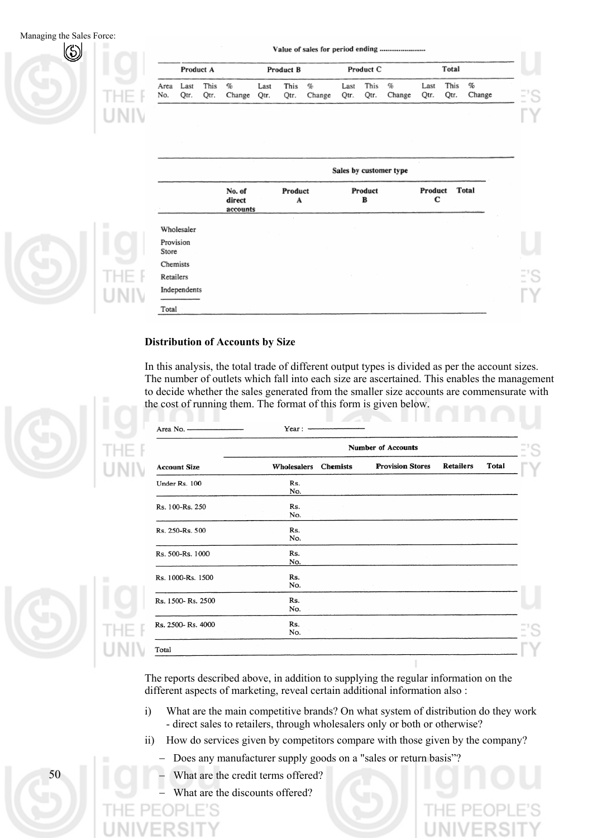Managing the Sales Force:



| Product A |      |                  |                  | Product B |          |             | Product C |             |                  | Total        |              |             |
|-----------|------|------------------|------------------|-----------|----------|-------------|-----------|-------------|------------------|--------------|--------------|-------------|
| No.       | Otr. | Area Last This % | Qtr. Change Qtr. | Last      | This $%$ | Qtr. Change |           | Last This % | Qtr. Qtr. Change | Last<br>Qtr. | This<br>Qtr. | %<br>Change |

Value of sales for period ending ............

|                    | Sales by customer type       |              |              |              |       |  |  |  |  |
|--------------------|------------------------------|--------------|--------------|--------------|-------|--|--|--|--|
|                    | No. of<br>direct<br>accounts | Product<br>A | Product<br>в | Product<br>с | Total |  |  |  |  |
| Wholesaler         |                              |              |              |              |       |  |  |  |  |
| Provision<br>Store |                              |              |              |              |       |  |  |  |  |
| Chemists           |                              |              |              |              |       |  |  |  |  |
| Retailers          |                              |              |              |              |       |  |  |  |  |
| Independents       |                              |              |              |              |       |  |  |  |  |
| Total              |                              |              |              |              |       |  |  |  |  |

### **Distribution of Accounts by Size**

In this analysis, the total trade of different output types is divided as per the account sizes. The number of outlets which fall into each size are ascertained. This enables the management to decide whether the sales generated from the smaller size accounts are commensurate with the cost of running them. The format of this form is given below.

|                     | Year : $-$                |  |                         |                  |       |  |  |  |  |  |
|---------------------|---------------------------|--|-------------------------|------------------|-------|--|--|--|--|--|
|                     | <b>Number of Accounts</b> |  |                         |                  |       |  |  |  |  |  |
| <b>Account Size</b> | Wholesalers Chemists      |  | <b>Provision Stores</b> | <b>Retailers</b> | Total |  |  |  |  |  |
| Under Rs. 100       | Rs.<br>No.                |  |                         |                  |       |  |  |  |  |  |
| Rs. 100-Rs. 250     | Rs.<br>No.                |  |                         |                  |       |  |  |  |  |  |
| Rs. 250-Rs. 500     | Rs.<br>No.                |  |                         |                  |       |  |  |  |  |  |
| Rs. 500-Rs. 1000    | Rs.<br>No.                |  |                         |                  |       |  |  |  |  |  |
| Rs. 1000-Rs. 1500   | Rs.<br>No.                |  |                         |                  |       |  |  |  |  |  |
| Rs. 1500-Rs. 2500   | Rs.<br>No.                |  |                         |                  |       |  |  |  |  |  |
| Rs. 2500-Rs. 4000   | Rs.<br>No.                |  |                         |                  |       |  |  |  |  |  |
| Total               |                           |  |                         |                  |       |  |  |  |  |  |

The reports described above, in addition to supplying the regular information on the different aspects of marketing, reveal certain additional information also :

- i) What are the main competitive brands? On what system of distribution do they work - direct sales to retailers, through wholesalers only or both or otherwise?
- ii) How do services given by competitors compare with those given by the company?
	- − Does any manufacturer supply goods on a "sales or return basis"?
	- − What are the credit terms offered?
	- − What are the discounts offered?



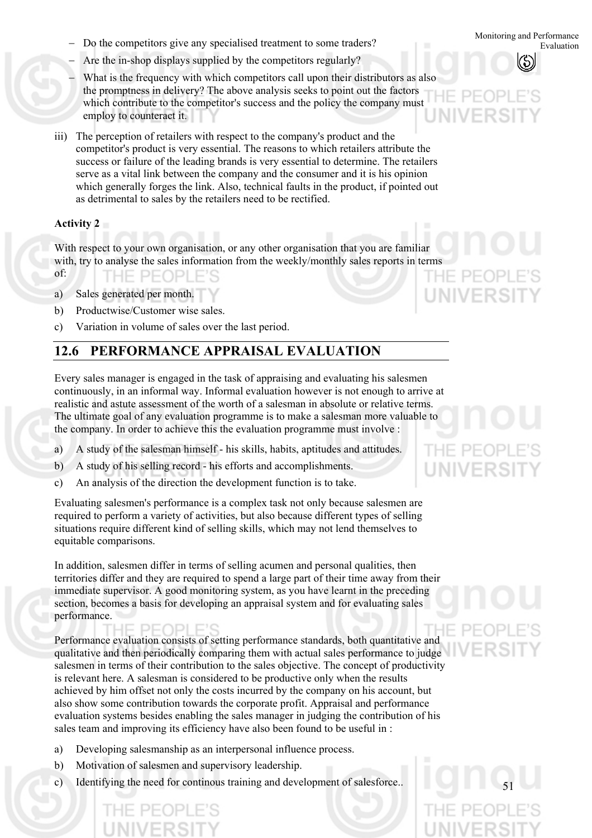- − Do the competitors give any specialised treatment to some traders? Evaluation
- − Are the in-shop displays supplied by the competitors regularly?
- − What is the frequency with which competitors call upon their distributors as also the promptness in delivery? The above analysis seeks to point out the factors which contribute to the competitor's success and the policy the company must employ to counteract it.
- iii) The perception of retailers with respect to the company's product and the competitor's product is very essential. The reasons to which retailers attribute the success or failure of the leading brands is very essential to determine. The retailers serve as a vital link between the company and the consumer and it is his opinion which generally forges the link. Also, technical faults in the product, if pointed out as detrimental to sales by the retailers need to be rectified.

### **Activity 2**

With respect to your own organisation, or any other organisation that you are familiar with, try to analyse the sales information from the weekly/monthly sales reports in terms of: THE PEOPLE'

- a) Sales generated per month.
- b) Productwise/Customer wise sales.
- c) Variation in volume of sales over the last period.

# **12.6 PERFORMANCE APPRAISAL EVALUATION**

Every sales manager is engaged in the task of appraising and evaluating his salesmen continuously, in an informal way. Informal evaluation however is not enough to arrive at realistic and astute assessment of the worth of a salesman in absolute or relative terms. The ultimate goal of any evaluation programme is to make a salesman more valuable to the company. In order to achieve this the evaluation programme must involve :

- a) A study of the salesman himself - his skills, habits, aptitudes and attitudes.
- b) A study of his selling record - his efforts and accomplishments.
- c) An analysis of the direction the development function is to take.

Evaluating salesmen's performance is a complex task not only because salesmen are required to perform a variety of activities, but also because different types of selling situations require different kind of selling skills, which may not lend themselves to equitable comparisons.

In addition, salesmen differ in terms of selling acumen and personal qualities, then territories differ and they are required to spend a large part of their time away from their immediate supervisor. A good monitoring system, as you have learnt in the preceding section, becomes a basis for developing an appraisal system and for evaluating sales performance.

Performance evaluation consists of setting performance standards, both quantitative and qualitative and then periodically comparing them with actual sales performance to judge salesmen in terms of their contribution to the sales objective. The concept of productivity is relevant here. A salesman is considered to be productive only when the results achieved by him offset not only the costs incurred by the company on his account, but also show some contribution towards the corporate profit. Appraisal and performance evaluation systems besides enabling the sales manager in judging the contribution of his sales team and improving its efficiency have also been found to be useful in :

- a) Developing salesmanship as an interpersonal influence process.
- b) Motivation of salesmen and supervisory leadership.
- c) Identifying the need for continous training and development of salesforce..



51



Monitoring and Performance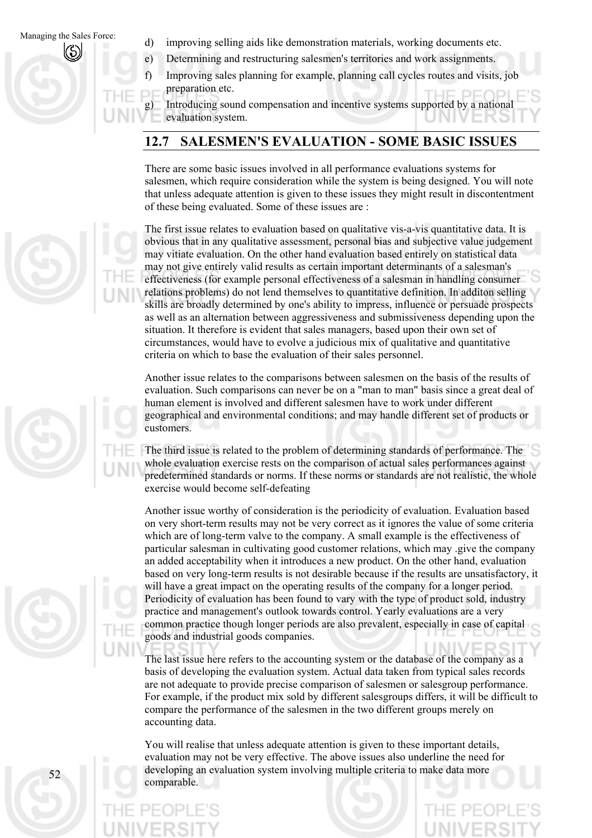- d) improving selling aids like demonstration materials, working documents etc.
- e) Determining and restructuring salesmen's territories and work assignments.
- f) Improving sales planning for example, planning call cycles routes and visits, job preparation etc.

g) Introducing sound compensation and incentive systems supported by a national evaluation system.

# **12.7 SALESMEN'S EVALUATION - SOME BASIC ISSUES**

There are some basic issues involved in all performance evaluations systems for salesmen, which require consideration while the system is being designed. You will note that unless adequate attention is given to these issues they might result in discontentment of these being evaluated. Some of these issues are :

The first issue relates to evaluation based on qualitative vis-a-vis quantitative data. It is obvious that in any qualitative assessment, personal bias and subjective value judgement may vitiate evaluation. On the other hand evaluation based entirely on statistical data may not give entirely valid results as certain important determinants of a salesman's effectiveness (for example personal effectiveness of a salesman in handling consumer relations problems) do not lend themselves to quantitative definition. In additon selling skills are broadly determined by one's ability to impress, influence or persuade prospects as well as an alternation between aggressiveness and submissiveness depending upon the situation. It therefore is evident that sales managers, based upon their own set of circumstances, would have to evolve a judicious mix of qualitative and quantitative criteria on which to base the evaluation of their sales personnel.

Another issue relates to the comparisons between salesmen on the basis of the results of evaluation. Such comparisons can never be on a "man to man" basis since a great deal of human element is involved and different salesmen have to work under different geographical and environmental conditions; and may handle different set of products or customers.

The third issue is related to the problem of determining standards of performance. The whole evaluation exercise rests on the comparison of actual sales performances against predetermined standards or norms. If these norms or standards are not realistic, the whole exercise would become self-defeating

Another issue worthy of consideration is the periodicity of evaluation. Evaluation based on very short-term results may not be very correct as it ignores the value of some criteria which are of long-term valve to the company. A small example is the effectiveness of particular salesman in cultivating good customer relations, which may .give the company an added acceptability when it introduces a new product. On the other hand, evaluation based on very long-term results is not desirable because if the results are unsatisfactory, it will have a great impact on the operating results of the company for a longer period. Periodicity of evaluation has been found to vary with the type of product sold, industry practice and management's outlook towards control. Yearly evaluations are a very common practice though longer periods are also prevalent, especially in case of capital goods and industrial goods companies.

The last issue here refers to the accounting system or the database of the company as a basis of developing the evaluation system. Actual data taken from typical sales records are not adequate to provide precise comparison of salesmen or salesgroup performance. For example, if the product mix sold by different salesgroups differs, it will be difficult to compare the performance of the salesmen in the two different groups merely on accounting data.

You will realise that unless adequate attention is given to these important details, evaluation may not be very effective. The above issues also underline the need for developing an evaluation system involving multiple criteria to make data more comparable.



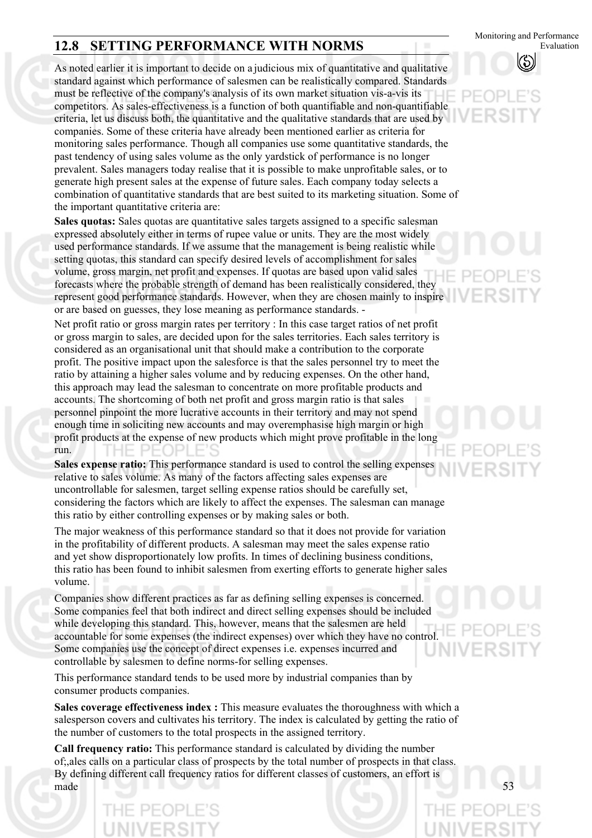# **12.8 SETTING PERFORMANCE WITH NORMS**

As noted earlier it is important to decide on a judicious mix of quantitative and qualitative standard against which performance of salesmen can be realistically compared. Standards must be reflective of the company's analysis of its own market situation vis-a-vis its competitors. As sales-effectiveness is a function of both quantifiable and non-quantifiable criteria, let us discuss both, the quantitative and the qualitative standards that are used by companies. Some of these criteria have already been mentioned earlier as criteria for monitoring sales performance. Though all companies use some quantitative standards, the past tendency of using sales volume as the only yardstick of performance is no longer prevalent. Sales managers today realise that it is possible to make unprofitable sales, or to generate high present sales at the expense of future sales. Each company today selects a combination of quantitative standards that are best suited to its marketing situation. Some of the important quantitative criteria are:

**Sales quotas:** Sales quotas are quantitative sales targets assigned to a specific salesman expressed absolutely either in terms of rupee value or units. They are the most widely used performance standards. If we assume that the management is being realistic while setting quotas, this standard can specify desired levels of accomplishment for sales volume, gross margin, net profit and expenses. If quotas are based upon valid sales forecasts where the probable strength of demand has been realistically considered, they represent good performance standards. However, when they are chosen mainly to inspire or are based on guesses, they lose meaning as performance standards. -

Net profit ratio or gross margin rates per territory : In this case target ratios of net profit or gross margin to sales, are decided upon for the sales territories. Each sales territory is considered as an organisational unit that should make a contribution to the corporate profit. The positive impact upon the salesforce is that the sales personnel try to meet the ratio by attaining a higher sales volume and by reducing expenses. On the other hand, this approach may lead the salesman to concentrate on more profitable products and accounts. The shortcoming of both net profit and gross margin ratio is that sales personnel pinpoint the more lucrative accounts in their territory and may not spend enough time in soliciting new accounts and may overemphasise high margin or high profit products at the expense of new products which might prove profitable in the long  $PF($ run.

**Sales expense ratio:** This performance standard is used to control the selling expenses relative to sales volume. As many of the factors affecting sales expenses are uncontrollable for salesmen, target selling expense ratios should be carefully set, considering the factors which are likely to affect the expenses. The salesman can manage this ratio by either controlling expenses or by making sales or both.

The major weakness of this performance standard so that it does not provide for variation in the profitability of different products. A salesman may meet the sales expense ratio and yet show disproportionately low profits. In times of declining business conditions, this ratio has been found to inhibit salesmen from exerting efforts to generate higher sales volume.

Companies show different practices as far as defining selling expenses is concerned. Some companies feel that both indirect and direct selling expenses should be included while developing this standard. This, however, means that the salesmen are held accountable for some expenses (the indirect expenses) over which they have no control. Some companies use the concept of direct expenses i.e. expenses incurred and controllable by salesmen to define norms-for selling expenses.

This performance standard tends to be used more by industrial companies than by consumer products companies.

**Sales coverage effectiveness index :** This measure evaluates the thoroughness with which a salesperson covers and cultivates his territory. The index is calculated by getting the ratio of the number of customers to the total prospects in the assigned territory.

**Call frequency ratio:** This performance standard is calculated by dividing the number of;,ales calls on a particular class of prospects by the total number of prospects in that class. By defining different call frequency ratios for different classes of customers, an effort is made



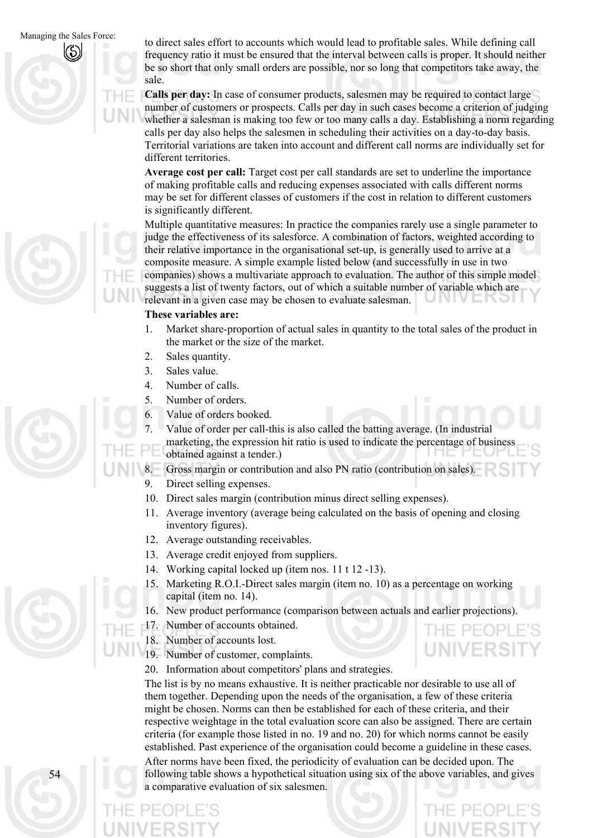

**Calls per day:** In case of consumer products, salesmen may be required to contact large number of customers or prospects. Calls per day in such cases become a criterion of judging whether a salesman is making too few or too many calls a day. Establishing a norm regarding calls per day also helps the salesmen in scheduling their activities on a day-to-day basis. Territorial variations are taken into account and different call norms are individually set for different territories.

**Average cost per call:** Target cost per call standards are set to underline the importance of making profitable calls and reducing expenses associated with calls different norms may be set for different classes of customers if the cost in relation to different customers is significantly different.

Multiple quantitative measures: In practice the companies rarely use a single parameter to judge the effectiveness of its salesforce. A combination of factors, weighted according to their relative importance in the organisational set-up, is generally used to arrive at a composite measure. A simple example listed below (and successfully in use in two companies) shows a multivariate approach to evaluation. The author of this simple model suggests a list of twenty factors, out of which a suitable number of variable which are relevant in a given case may be chosen to evaluate salesman.

### **These variables are:**

- 1. Market share-proportion of actual sales in quantity to the total sales of the product in the market or the size of the market.
- 2. Sales quantity.
- 3. Sales value.
- 4. Number of calls.
- 5. Number of orders.
- 6. Value of orders booked.
- 7. Value of order per call-this is also called the batting average. (In industrial
- marketing, the expression hit ratio is used to indicate the percentage of business obtained against a tender.)
- Gross margin or contribution and also PN ratio (contribution on sales).
- 9. Direct selling expenses.
- 10. Direct sales margin (contribution minus direct selling expenses).
- 11. Average inventory (average being calculated on the basis of opening and closing inventory figures).
- 12. Average outstanding receivables.
- 13. Average credit enjoyed from suppliers.
- 14. Working capital locked up (item nos. 11 t 12 -13).
- 15. Marketing R.O.I.-Direct sales margin (item no. 10) as a percentage on working capital (item no. 14).
- 16. New product performance (comparison between actuals and earlier projections).
- 17. Number of accounts obtained.
- 18. Number of accounts lost.
- 19. Number of customer, complaints.
- 20. Information about competitors' plans and strategies.

The list is by no means exhaustive. It is neither practicable nor desirable to use all of them together. Depending upon the needs of the organisation, a few of these criteria might be chosen. Norms can then be established for each of these criteria, and their respective weightage in the total evaluation score can also be assigned. There are certain criteria (for example those listed in no. 19 and no. 20) for which norms cannot be easily established. Past experience of the organisation could become a guideline in these cases.

After norms have been fixed, the periodicity of evaluation can be decided upon. The following table shows a hypothetical situation using six of the above variables, and gives a comparative evaluation of six salesmen.

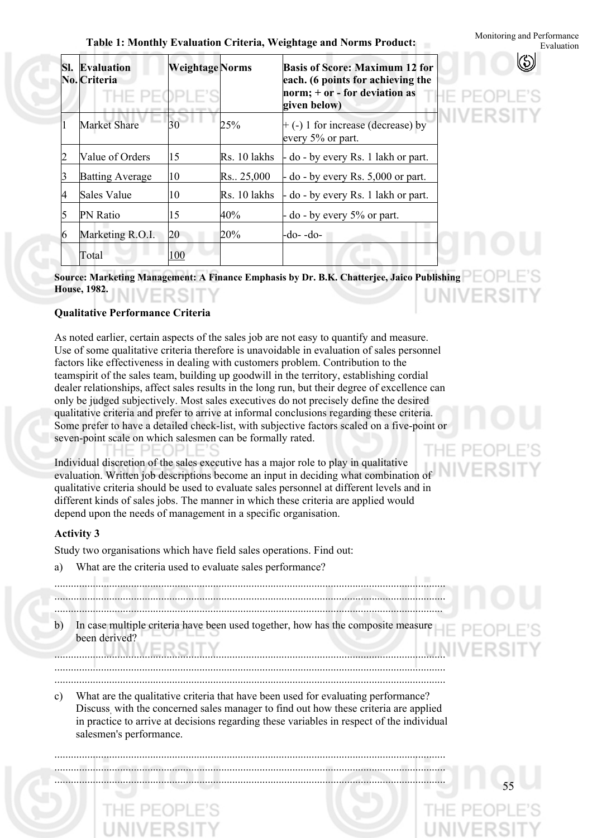### **Table 1: Monthly Evaluation Criteria, Weightage and Norms Product: Evaluation** Evaluation

|   | <b>Sl. Evaluation</b><br>No. Criteria |     | <b>Basis of Score: Maximum 12 for</b><br><b>Weightage Norms</b><br>each. (6 points for achieving the<br>norm; $+$ or - for deviation as<br>THE PEOPLE'S<br>given below) |                                                           |  |  |  |
|---|---------------------------------------|-----|-------------------------------------------------------------------------------------------------------------------------------------------------------------------------|-----------------------------------------------------------|--|--|--|
|   | <b>Market Share</b>                   | 30  | 25%                                                                                                                                                                     | $+$ (-) 1 for increase (decrease) by<br>every 5% or part. |  |  |  |
|   | Value of Orders                       | 15  | Rs. 10 lakhs                                                                                                                                                            | $-$ do $-$ by every Rs. 1 lakh or part.                   |  |  |  |
|   | <b>Batting Average</b>                | 10  | Rs. 25,000                                                                                                                                                              | $-$ do $-$ by every Rs. 5,000 or part.                    |  |  |  |
| 4 | Sales Value                           | 10  | Rs. 10 lakhs                                                                                                                                                            | $-$ do $-$ by every Rs. 1 lakh or part.                   |  |  |  |
|   | <b>PN</b> Ratio                       | 15  | 40%                                                                                                                                                                     | $-$ do $-$ by every 5% or part.                           |  |  |  |
| 6 | Marketing R.O.I.                      | 20  | 20%                                                                                                                                                                     | -do- -do-                                                 |  |  |  |
|   | Total                                 | 100 |                                                                                                                                                                         |                                                           |  |  |  |

**Source: Marketing Management: A Finance Emphasis by Dr. B.K. Chatterjee, Jaico Publishing House, 1982.** 

### **Qualitative Performance Criteria**

As noted earlier, certain aspects of the sales job are not easy to quantify and measure. Use of some qualitative criteria therefore is unavoidable in evaluation of sales personnel factors like effectiveness in dealing with customers problem. Contribution to the teamspirit of the sales team, building up goodwill in the territory, establishing cordial dealer relationships, affect sales results in the long run, but their degree of excellence can only be judged subjectively. Most sales executives do not precisely define the desired qualitative criteria and prefer to arrive at informal conclusions regarding these criteria. Some prefer to have a detailed check-list, with subjective factors scaled on a five-point or seven-point scale on which salesmen can be formally rated.  $PF($ 

Individual discretion of the sales executive has a major role to play in qualitative evaluation. Written job descriptions become an input in deciding what combination of qualitative criteria should be used to evaluate sales personnel at different levels and in different kinds of sales jobs. The manner in which these criteria are applied would depend upon the needs of management in a specific organisation.

### **Activity 3**

Study two organisations which have field sales operations. Find out:

a) What are the criteria used to evaluate sales performance?

55 b) c) ............................................................................................................................................... ............................................................................................................................................... .............................................................................................................................................. In case multiple criteria have been used together, how has the composite measure been derived? ............................................................................................................................................... ............................................................................................................................................... ............................................................................................................................................... What are the qualitative criteria that have been used for evaluating performance? Discuss, with the concerned sales manager to find out how these criteria are applied in practice to arrive at decisions regarding these variables in respect of the individual salesmen's performance. ............................................................................................................................................... ............................................................................................................................................... ...............................................................................................................................................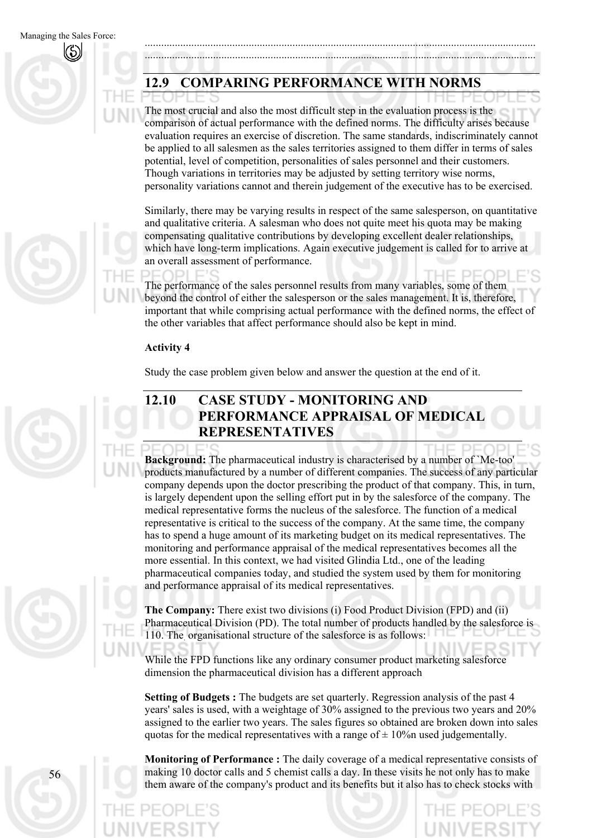# **12.9 COMPARING PERFORMANCE WITH NORMS**

The most crucial and also the most difficult step in the evaluation process is the comparison of actual performance with the defined norms. The difficulty arises because evaluation requires an exercise of discretion. The same standards, indiscriminately cannot be applied to all salesmen as the sales territories assigned to them differ in terms of sales potential, level of competition, personalities of sales personnel and their customers. Though variations in territories may be adjusted by setting territory wise norms, personality variations cannot and therein judgement of the executive has to be exercised.

............................................................................................................................................... ...............................................................................................................................................

Similarly, there may be varying results in respect of the same salesperson, on quantitative and qualitative criteria. A salesman who does not quite meet his quota may be making compensating qualitative contributions by developing excellent dealer relationships, which have long-term implications. Again executive judgement is called for to arrive at an overall assessment of performance.

The performance of the sales personnel results from many variables, some of them beyond the control of either the salesperson or the sales management. It is, therefore, important that while comprising actual performance with the defined norms, the effect of the other variables that affect performance should also be kept in mind.

### **Activity 4**

Study the case problem given below and answer the question at the end of it.



# **12.10 CASE STUDY - MONITORING AND PERFORMANCE APPRAISAL OF MEDICAL REPRESENTATIVES**

**Background:** The pharmaceutical industry is characterised by a number of `Me-too' products manufactured by a number of different companies. The success of any particular company depends upon the doctor prescribing the product of that company. This, in turn, is largely dependent upon the selling effort put in by the salesforce of the company. The medical representative forms the nucleus of the salesforce. The function of a medical representative is critical to the success of the company. At the same time, the company has to spend a huge amount of its marketing budget on its medical representatives. The monitoring and performance appraisal of the medical representatives becomes all the more essential. In this context, we had visited Glindia Ltd., one of the leading pharmaceutical companies today, and studied the system used by them for monitoring and performance appraisal of its medical representatives.

56

**The Company:** There exist two divisions (i) Food Product Division (FPD) and (ii) Pharmaceutical Division (PD). The total number of products handled by the salesforce is 110. The organisational structure of the salesforce is as follows:

While the FPD functions like any ordinary consumer product marketing salesforce dimension the pharmaceutical division has a different approach

**Setting of Budgets :** The budgets are set quarterly. Regression analysis of the past 4 years' sales is used, with a weightage of 30% assigned to the previous two years and 20% assigned to the earlier two years. The sales figures so obtained are broken down into sales quotas for the medical representatives with a range of  $\pm$  10% n used judgementally.

**Monitoring of Performance :** The daily coverage of a medical representative consists of making 10 doctor calls and 5 chemist calls a day. In these visits he not only has to make them aware of the company's product and its benefits but it also has to check stocks with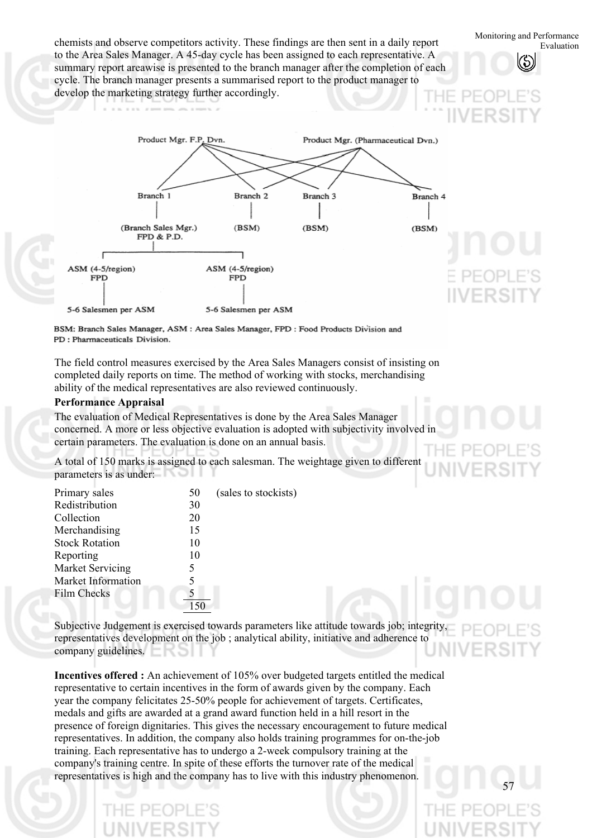Monitoring and Performance chemists and observe competitors activity. These findings are then sent in a daily report to the Area Sales Manager. A 45-day cycle has been assigned to each representative. A summary report areawise is presented to the branch manager after the completion of each cycle. The branch manager presents a summarised report to the product manager to develop the marketing strategy further accordingly.



BSM: Branch Sales Manager, ASM: Area Sales Manager, FPD: Food Products Division and PD: Pharmaceuticals Division.

The field control measures exercised by the Area Sales Managers consist of insisting on completed daily reports on time. The method of working with stocks, merchandising ability of the medical representatives are also reviewed continuously.

### **Performance Appraisal**

The evaluation of Medical Representatives is done by the Area Sales Manager concerned. A more or less objective evaluation is adopted with subjectivity involved in certain parameters. The evaluation is done on an annual basis.

A total of 150 marks is assigned to each salesman. The weightage given to different parameters is as under:

| 50 | (sales to stockists) |
|----|----------------------|
| 30 |                      |
| 20 |                      |
| 15 |                      |
| 10 |                      |
| 10 |                      |
| 5  |                      |
| 5  |                      |
|    |                      |
|    |                      |
|    |                      |

Subjective Judgement is exercised towards parameters like attitude towards job; integrity, representatives development on the job ; analytical ability, initiative and adherence to company guidelines.

**Incentives offered :** An achievement of 105% over budgeted targets entitled the medical representative to certain incentives in the form of awards given by the company. Each year the company felicitates 25-50% people for achievement of targets. Certificates, medals and gifts are awarded at a grand award function held in a hill resort in the presence of foreign dignitaries. This gives the necessary encouragement to future medical representatives. In addition, the company also holds training programmes for on-the-job training. Each representative has to undergo a 2-week compulsory training at the company's training centre. In spite of these efforts the turnover rate of the medical representatives is high and the company has to live with this industry phenomenon.

57

Evaluation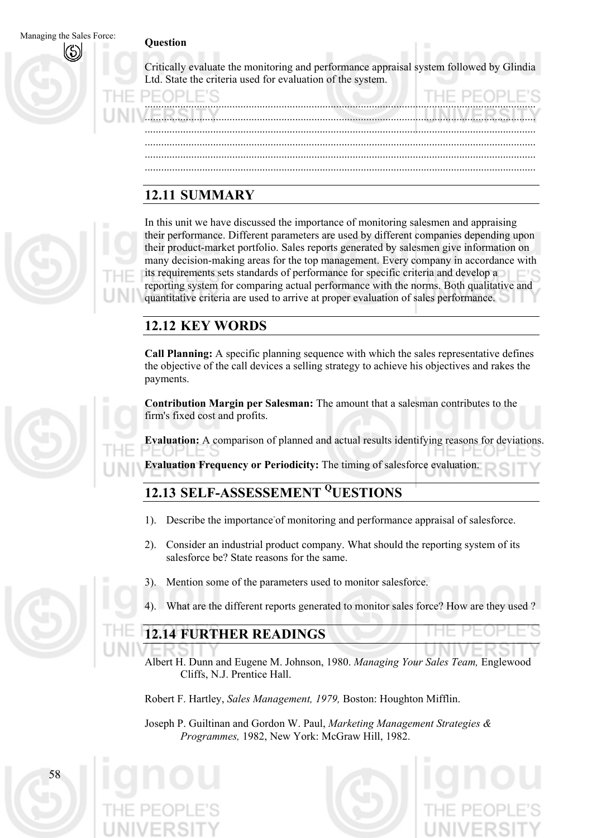### Managing the Sales Force:

### **Question**

Critically evaluate the monitoring and performance appraisal system followed by Glindia Ltd. State the criteria used for evaluation of the system.

............................................................................................................................................... ............................................................................................................................................... ............................................................................................................................................... ............................................................................................................................................... ............................................................................................................................................... ...............................................................................................................................................

# **12.11 SUMMARY**

In this unit we have discussed the importance of monitoring salesmen and appraising their performance. Different parameters are used by different companies depending upon their product-market portfolio. Sales reports generated by salesmen give information on many decision-making areas for the top management. Every company in accordance with its requirements sets standards of performance for specific criteria and develop a reporting system for comparing actual performance with the norms. Both qualitative and quantitative criteria are used to arrive at proper evaluation of sales performance.

# **12.12 KEY WORDS**

**Call Planning:** A specific planning sequence with which the sales representative defines the objective of the call devices a selling strategy to achieve his objectives and rakes the payments.

**Contribution Margin per Salesman:** The amount that a salesman contributes to the firm's fixed cost and profits.

**Evaluation:** A comparison of planned and actual results identifying reasons for deviations.

**Evaluation Frequency or Periodicity:** The timing of salesforce evaluation.

# **12.13 SELF-ASSESSEMENT QUESTIONS**

- 1). Describe the importance of monitoring and performance appraisal of salesforce.
- 2). Consider an industrial product company. What should the reporting system of its salesforce be? State reasons for the same.
- 3). Mention some of the parameters used to monitor salesforce.
- What are the different reports generated to monitor sales force? How are they used ?

## **12.14 FURTHER READINGS**

Albert H. Dunn and Eugene M. Johnson, 1980. *Managing Your Sales Team,* Englewood Cliffs, N.J. Prentice Hall.

Robert F. Hartley, *Sales Management, 1979,* Boston: Houghton Mifflin.

Joseph P. Guiltinan and Gordon W. Paul, *Marketing Management Strategies & Programmes,* 1982, New York: McGraw Hill, 1982.



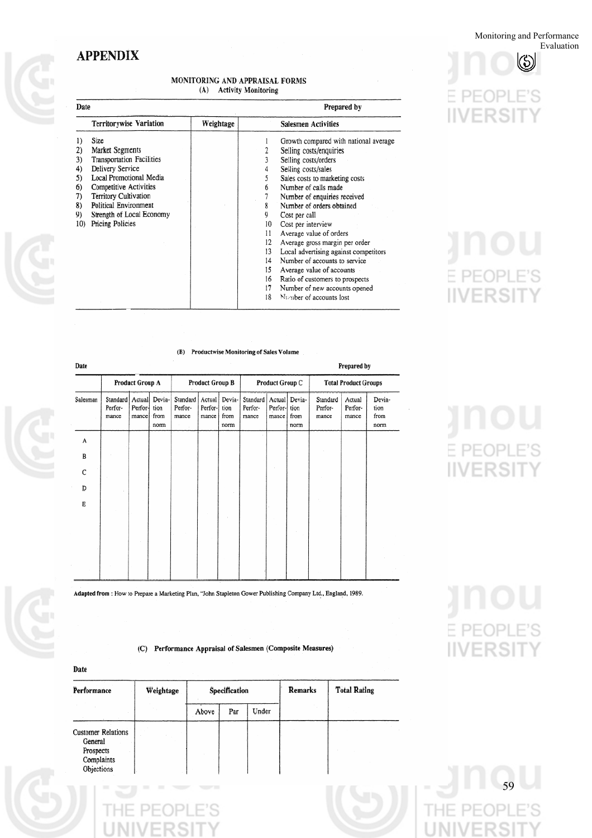Monitoring and Performance Evaluation

 $\circledS$ 

Υ

)PLE'S

### **APPENDIX**

### MONITORING AND APPRAISAL FORMS (A) Activity Monitoring

| Date                                                |                                                                                                                                                                                                                                                                           |  | Prepared by                            |                                                                                                                                                                                                                                                                                                          |  |  |  |
|-----------------------------------------------------|---------------------------------------------------------------------------------------------------------------------------------------------------------------------------------------------------------------------------------------------------------------------------|--|----------------------------------------|----------------------------------------------------------------------------------------------------------------------------------------------------------------------------------------------------------------------------------------------------------------------------------------------------------|--|--|--|
|                                                     | Weightage                                                                                                                                                                                                                                                                 |  | Salesmen Activities                    |                                                                                                                                                                                                                                                                                                          |  |  |  |
| 2)<br>3)<br>4)<br>5)<br>6)<br>7)<br>8)<br>9)<br>10) | <b>Territorywise Variation</b><br>Size<br>Market Segments<br><b>Transportation Facilities</b><br>Delivery Service<br>Local Promotional Media<br>Competitive Activities<br>Territory Cultivation<br>Political Environment<br>Strength of Local Economy<br>Pricing Policies |  | 4<br>5<br>6<br>8<br>9<br>10<br>11      | Growth compared with national average<br>Selling costs/enquiries<br>Selling costs/orders<br>Selling costs/sales<br>Sales costs to marketing costs<br>Number of calls made<br>Number of enquiries received<br>Number of orders obtained<br>Cost per call<br>Cost per interview<br>Average value of orders |  |  |  |
|                                                     |                                                                                                                                                                                                                                                                           |  | 12<br>13<br>14<br>15<br>16<br>17<br>18 | Average gross margin per order<br>Local advertising against competitors<br>Number of accounts to service<br>Average value of accounts<br>Ratio of customers to prospects<br>Number of new accounts opened<br>Mumber of accounts lost                                                                     |  |  |  |

### (B) Productwise Monitoring of Sales Volume

| Date     | Prepared by                  |                             |                                |                              |                            |                                |                              |                    |                                       |                              |                            |                                |
|----------|------------------------------|-----------------------------|--------------------------------|------------------------------|----------------------------|--------------------------------|------------------------------|--------------------|---------------------------------------|------------------------------|----------------------------|--------------------------------|
|          | Product Group A              |                             |                                | Product Group B              |                            |                                | Product Group C              |                    |                                       | <b>Total Product Groups</b>  |                            |                                |
| Salesman | Standard<br>Perfor-<br>mance | Actual<br>Perfor-<br>mancel | Devia-<br>tion<br>from<br>norm | Standard<br>Perfor-<br>mance | Actual<br>Perfor-<br>mance | Devia-<br>tion<br>from<br>norm | Standard<br>Perfor-<br>mance | Perfor-<br>mance i | Actual Devia-<br>tion<br>from<br>norm | Standard<br>Perfor-<br>mance | Actual<br>Perfor-<br>mance | Devia-<br>tion<br>from<br>norm |
| A        |                              |                             |                                |                              |                            |                                |                              |                    |                                       |                              |                            |                                |
| в        |                              |                             |                                |                              |                            |                                |                              |                    |                                       |                              |                            |                                |
| C        |                              |                             |                                |                              |                            |                                |                              |                    |                                       |                              |                            |                                |
| D        |                              |                             |                                |                              |                            |                                |                              |                    |                                       |                              |                            |                                |
| E        |                              |                             |                                |                              |                            |                                |                              |                    |                                       |                              |                            |                                |
|          |                              |                             |                                |                              |                            |                                |                              |                    |                                       |                              |                            |                                |

Adapted from : How to Prepare a Marketing Plan, "John Stapleton Gower Publishing Company Ltd., England, 1989.

(C) Performance Appraisal of Salesmen (Composite Measures)

| vate                                                                          |           |       |               |       |         |                     |  |  |  |  |
|-------------------------------------------------------------------------------|-----------|-------|---------------|-------|---------|---------------------|--|--|--|--|
| Performance                                                                   | Weightage |       | Specification |       | Remarks | <b>Total Rating</b> |  |  |  |  |
|                                                                               |           | Above | Par           | Under |         |                     |  |  |  |  |
| <b>Customer Relations</b><br>General<br>Prospects<br>Complaints<br>Objections |           |       |               |       |         |                     |  |  |  |  |

PF<sub>(</sub>

**IIVERSIT** 

# PEOPLE'S **IIVERSIT** Υ

# E. PEOPLE'S **IIVERSIT**

# PEOPLE'S **IIVERSIT**